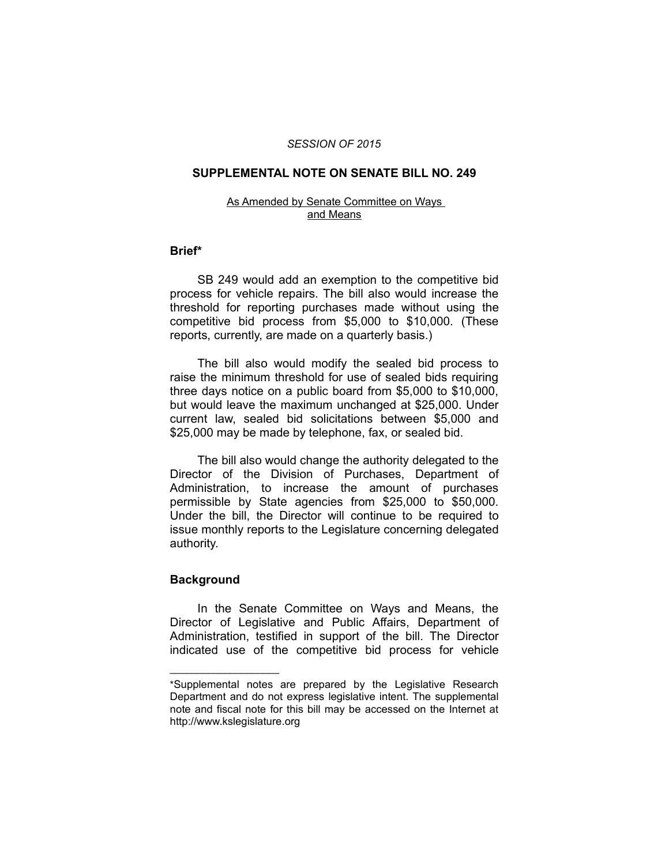## *SESSION OF 2015*

# **SUPPLEMENTAL NOTE ON SENATE BILL NO. 249**

### As Amended by Senate Committee on Ways and Means

## **Brief\***

SB 249 would add an exemption to the competitive bid process for vehicle repairs. The bill also would increase the threshold for reporting purchases made without using the competitive bid process from \$5,000 to \$10,000. (These reports, currently, are made on a quarterly basis.)

The bill also would modify the sealed bid process to raise the minimum threshold for use of sealed bids requiring three days notice on a public board from \$5,000 to \$10,000, but would leave the maximum unchanged at \$25,000. Under current law, sealed bid solicitations between \$5,000 and \$25,000 may be made by telephone, fax, or sealed bid.

The bill also would change the authority delegated to the Director of the Division of Purchases, Department of Administration, to increase the amount of purchases permissible by State agencies from \$25,000 to \$50,000. Under the bill, the Director will continue to be required to issue monthly reports to the Legislature concerning delegated authority.

## **Background**

 $\overline{\phantom{a}}$  , where  $\overline{\phantom{a}}$ 

In the Senate Committee on Ways and Means, the Director of Legislative and Public Affairs, Department of Administration, testified in support of the bill. The Director indicated use of the competitive bid process for vehicle

<sup>\*</sup>Supplemental notes are prepared by the Legislative Research Department and do not express legislative intent. The supplemental note and fiscal note for this bill may be accessed on the Internet at http://www.kslegislature.org